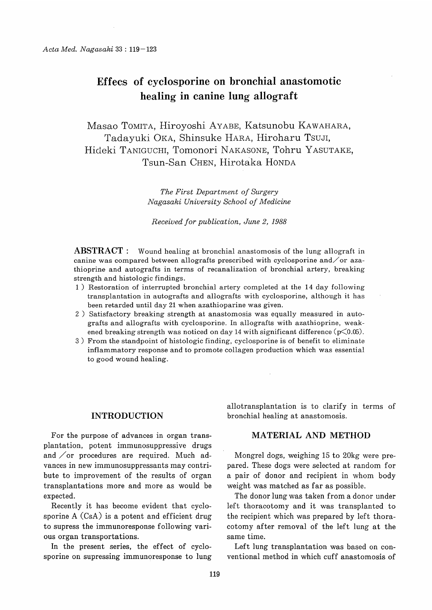# Effecs of cyclosporine on bronchial anastomotic healing in canine lung allograft

Masao TOMITA, Hiroyoshi AYABE, Katsunobu KAWAHARA, Tadayuki OKA, Shinsuke HARA, Hiroharu Tsuji, Hideki TANIGUCHI, Tomonori NAKASONE, Tohru YASUTAKE, Tsun-San CHEN, Hirotaka HONDA

> The First Department of Surgery Nagasaki University School of Medicine

Received for publication, June 2, 1988

ABSTRACT : Wound healing at bronchial anastomosis of the lung allograft in canine was compared between allografts prescribed with cyclosporine and  $\sigma$  azathioprine and autografts in terms of recanalization of bronchial artery, breaking strength and histologic findings.

- 1) Restoration of interrupted bronchial artery completed at the 14 day following transplantation in autografts and allografts with cyclosporine, although it has been retarded until day 21 when azathioparine was given.
- 2) Satisfactory breaking strength at anastomosis was equally measured in autografts and allografts with cyclosporine. In allografts with azathioprine, weakened breaking strength was noticed on day 14 with significant difference  $(\mathcal{p}\langle 0.05)$ .
- 3) From the standpoint of histologic finding, cyclosporine is of benefit to eliminate inflammatory response and to promote collagen production which was essential to good wound healing.

# INTRODUCTION

For the purpose of advances in organ transplantation, potent immunosuppressive drugs and  $\sqrt{$  or procedures are required. Much advances in new immunosuppressants may contribute to improvement of the results of organ transplantations more and more as would be expected.

Recently it has become evident that cyclosporine A (CsA) is a potent and efficient drug to supress the immunoresponse following various organ transportations.

In the present series, the effect of cyclosporine on supressing immunoresponse to lung allotransplantation is to clarify in terms of bronchial healing at anastomosis.

## MATERIAL AND METHOD

Mongrel dogs, weighing 15 to 20kg were prepared. These dogs were selected at random for a pair of donor and recipient in whom body weight was matched as far as possible.

The donor lung was taken from a donor under left thoracotomy and it was transplanted to the recipient which was prepared by left thoracotomy after removal of the left lung at the same time.

Left lung transplantation was based on conventional method in which cuff anastomosis of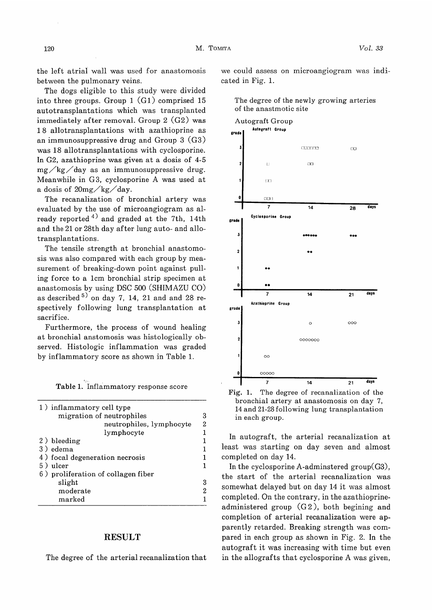the left atrial wall was used for anastomosis between the pulmonary veins.

The dogs eligible to this study were divided into three groups. Group 1 (G1) comprised 15 autotransplantations which was transplanted immediately after removal. Group 2 (G2) was 18 allotransplantations with azathioprine as an immunosuppressive drug and Group 3 (G3) was 18 allotransplantations with cyclosporine. In G2, azathioprine was given at a dosis of 4-5 mg/kg/day as an immunosuppressive drug. Meanwhile in G3, cyclosporine A was used at a dosis of  $20$ mg $\frac{\text{kg}}{\text{kg}}$ day.

The recanalization of bronchial artery was evaluated by the use of microangiogram as already reported  $4)$  and graded at the 7th, 14th and the 21 or 28th day after lung auto- and allotransplantations.

The tensile strength at bronchial anastomosis was also compared with each group by measurement of breaking-down point against pulling force to a 1cm bronchial strip specimen at anastomosis by using DSC 500 (SHIMAZU CO) as described  $5$ ) on day 7, 14, 21 and and 28 respectively following lung transplantation at sacrifice.

 Furthermore, the process of wound healing at bronchial anstomosis was histologically observed. Histologic inflammation was graded by inflammatory score as shown in Table 1.

|  | Table 1. Inflammatory response score |  |  |
|--|--------------------------------------|--|--|
|--|--------------------------------------|--|--|

 $\bar{E}_{\rm gas}$ 

| 1) inflammatory cell type<br>migration of neutrophiles | 3 |
|--------------------------------------------------------|---|
| neutrophiles, lymphocyte                               | 2 |
| lymphocyte                                             |   |
| 2) bleeding                                            |   |
| 3) edema                                               |   |
| 4) focal degeneration necrosis                         |   |
| 5) ulcer                                               |   |
| 6) proliferation of collagen fiber                     |   |
| slight                                                 | 3 |
| moderate                                               | 2 |
| marked                                                 |   |
|                                                        |   |

#### RESULT

The degree of the arterial recanalization that

we could assess on microangiogram was indicated in Fig. 1.





Fig. 1. The degree of recanalization of the bronchial artery at anastomosis on day 7, 14 and 21-28 following lung transplantation in each group.

In autograft, the arterial recanalization at least was starting on day seven and almost completed on day 14.

In the cyclosporine A-adminstered group(G3), the start of the arterial recanalization was somewhat delayed but on day 14 it was almost completed. On the contrary, in the azathioprineadministered group (G2), both begining and completion of arterial recanalization were apparently retarded. Breaking strength was compared in each group as shown in Fig. 2. In the autograft it was increasing with time but even in the allografts that cyclosporine A was given,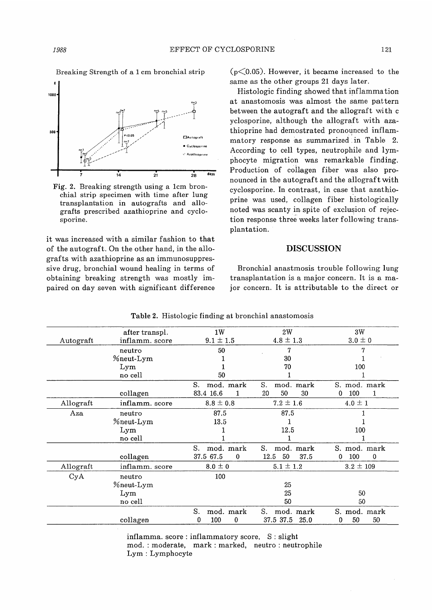Breaking Strength of a 1 cm bronchial strip



Fig. 2. Breaking strength using a 1cm bronchial strip specimen with time after lung transplantation in autografts and allografts prescribed azathioprine and cyclosporine.

it was increased with a similar fashion to that of the autograft. On the other hand, in the allografts with azathioprine as an immunosuppressive drug, bronchial wound healing in terms of obtaining breaking strength was mostly impaired on day seven with significant difference

 $(p<0.05)$ . However, it became increased to the same as the other groups 21 days later.

Histologic finding showed that inflammation at anastomosis was almost the same pattern between the autograft and the allograft with c yclosporine, although the allograft with azathioprine had demostrated pronounced inflammatory response as summarized. in Table 2. According to cell types, neutrophile and lymphocyte migration was remarkable finding. Production of collagen fiber was also pronounced in the autograft and the allograft with cyclosporine. In contrast, in case that azathioprine was used, collagen fiber histologically noted was scanty in, spite of exclusion of rejection response three weeks later following transplantation.

### DISCUSSION

Bronchial anastmosis trouble following lung transplantation is a major concern. It is a major concern. It is attributable to the direct or

|           | after transpl.   | 1W                        | 2W                 | 3W                          |
|-----------|------------------|---------------------------|--------------------|-----------------------------|
| Autograft | inflamm. score   | $9.1 \pm 1.5$             | $4.8 \pm 1.3$      | $3.0 \pm 0$                 |
|           | neutro           | 50                        | 7                  |                             |
|           | <i>Meut-Lym</i>  |                           | 30                 |                             |
|           | Lym              |                           | 70                 | 100                         |
|           | no cell          | 50                        |                    |                             |
|           |                  | S.<br>mod. mark           | S.<br>mod. mark    | S. mod. mark                |
|           | collagen         | 83.4 16.6<br>1            | 20<br>50<br>30     | 100<br>0<br>1               |
| Allograft | inflamm. score   | $8.8 \pm 0.8$             | $7.2 \pm 1.6$      | $4.0 \pm 1$                 |
| Aza       | neutro           | 87.5                      | 87.5               |                             |
|           | <b>%neut-Lym</b> | 13.5                      |                    |                             |
|           | Lym              |                           | 12.5               | 100                         |
|           | no cell          |                           |                    |                             |
|           |                  | S.<br>mod. mark           | S.<br>mod. mark    | S. mod. mark                |
|           | collagen         | 37.5 67.5<br>$\mathbf{0}$ | 12.5<br>50<br>37.5 | 100<br>$\Omega$<br>$\Omega$ |
| Allograft | inflamm. score   | $8.0 \pm 0$               | $5.1 \pm 1.2$      | $3.2 \pm 109$               |
| CyA       | neutro           | 100                       |                    |                             |
|           | %neut-Lym        |                           | 25                 |                             |
|           | Lym              |                           | 25                 | 50                          |
|           | no cell          |                           | 50                 | 50                          |
|           |                  | S.<br>mod. mark           | S.<br>mod. mark    | S. mod. mark                |
|           | collagen         | 100<br>0<br>0             | 37.5 37.5<br>25.0  | 50<br>50<br>0               |
|           |                  |                           |                    |                             |

Table 2. Histologic finding at bronchial anastomosis

inflamma. score : inflammatory score, S : slight mod.: moderate, mark : marked, neutro : neutrophile Lym : Lymphocyte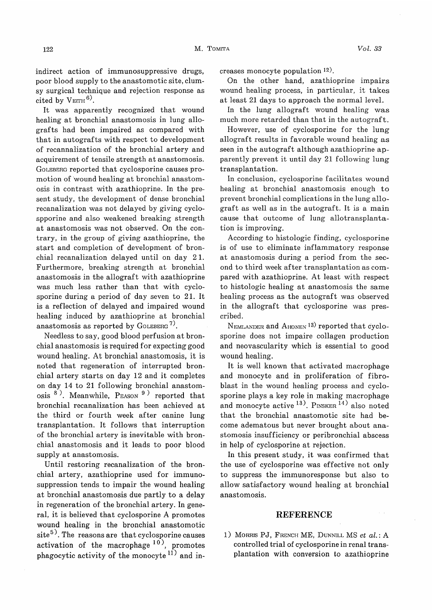indirect action of immunosuppressive drugs, poor blood supply to the anastomotic site, clumsy surgical technique and rejection response as cited by  $V_{\text{EITH}}$ <sup>6)</sup>.

It was apparently recognized that wound healing at bronchial anastomosis in lung allografts had been impaired as compared with that in autografts with respect to development of recannalization of the bronchial artery and acquirement of tensile strength at anastomosis. GOLEBERG reported that cyclosporine causes promotion of wound healing at bronchial anastomosis in contrast with azathioprine. In the present study, the development of dense bronchial recanalization was not delayed by giving cyclospporine and also weakened breaking strength at anastomosis was not observed. On the contrary, in the group of giving azathioprine, the start and completion of development of bronchial recanalization delayed until on day 2 1. Furthermore, breaking strength at bronchial anastomosis in the allograft with azathioprine was much less rather than that with cyclosporine during a period of day seven to 21. It is a reflection of delayed and impaired wound healing induced by azathioprine at bronchial anastomosis as reported by GOLEBERG<sup>7)</sup>.

Needless to say, good blood perfusion at bronchial anastomosis is required for expecting good wound healing. At bronchial anastomosis, it is noted that regeneration of interrupted bronchial artery starts on day 12 and it completes on day 14 to 21 following bronchial anastomosis  $8^{\circ}$ ). Meanwhile, PEASON  $9^{\circ}$  reported that bronchial recanalization has been achieved at the third or fourth week after canine lung transplantation. It follows that interruption of the bronchial artery is inevitable with bronchial anastomosis and it leads to poor blood supply at anastomosis.

Until restoring recanalization of the bronchial artery, azathioprine used for immunosuppression tends to impair the wound healing at bronchial anastomosis due partly to a delay in regeneration of the bronchial artery. In general, it is believed that cyclosporine A promotes wound healing in the bronchial anastomotic  $site<sup>5</sup>$ . The reasons are that cyclosporine causes activation of the macrophage  $10$ ), promotes phagocytic activity of the monocyte<sup>11)</sup> and increases monocyte population 12).

On the other hand, azathioprine impairs wound healing process, in particular, it takes at least 21 days to approach the normal level.

In the lung allograft wound healing was much more retarded than that in the autograft.

However, use of cyclosporine for the lung allograft results in favorable wound healing as seen in the autograft although azathioprine apparently prevent it until day 21 following lung transplantation.

 In conclusion, cyclosporine facilitates wound healing at bronchial anastomosis enough to prevent bronchial complications in the lung allograft as well as in the autograft. It is a main cause that outcome of lung allotransplantation is improving.

According to histologic finding, cyclosporine is of use to eliminate inflammatory response at anastomosis during a period from the second to third week after transplantation as compared with azathioprine. At least with respect to histologic healing at anastomosis the same healing process as the autograft was observed in the allograft that cyclosporine was prescribed.

NEMLANDER and AHONEN<sup>13</sup> reported that cyclosporine does not impaire collagen production and neovascularity which is essential to good wound healing.

It is well known that activated macrophage and monocyte and in proliferation of fibroblast in the wound healing process and cyclosporine plays a key role in making macrophage and monocyte active  $^{13}$ . PINSKER  $^{14}$ ) also noted that the bronchial anastomotic site had become adematous but never brought about anastomosis insufficiency or peribronchial abscess in help of cyclosporine at rejection.

In this present study, it was confirmed that the use of cyclosporine was effective not only to suppress the immunoresponse but also to allow satisfactory wound healing at bronchial anastomosis.

#### REFERENCE

1) MORRIS PJ, FRENCH ME, DUNNILL MS et al.: A controlled trial of cyclosporine in renal transplantation with conversion to azathioprine